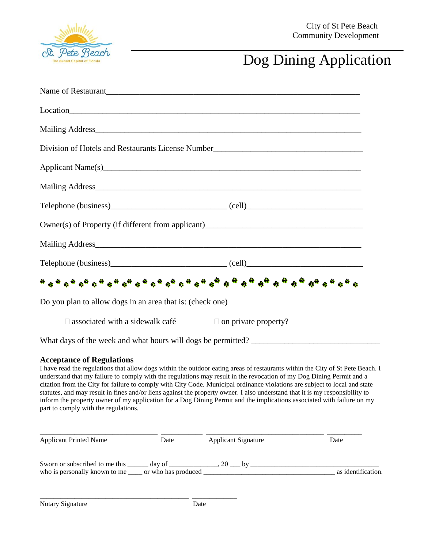

## Dog Dining Application

| Name of Restaurant                                                                                                                                                                                                             |  |  |
|--------------------------------------------------------------------------------------------------------------------------------------------------------------------------------------------------------------------------------|--|--|
| Location here are the contract of the contract of the contract of the contract of the contract of the contract of the contract of the contract of the contract of the contract of the contract of the contract of the contract |  |  |
|                                                                                                                                                                                                                                |  |  |
| Division of Hotels and Restaurants License Number________________________________                                                                                                                                              |  |  |
|                                                                                                                                                                                                                                |  |  |
|                                                                                                                                                                                                                                |  |  |
|                                                                                                                                                                                                                                |  |  |
|                                                                                                                                                                                                                                |  |  |
|                                                                                                                                                                                                                                |  |  |
|                                                                                                                                                                                                                                |  |  |
| . So show that the show that the show that the show that the show that $\theta$                                                                                                                                                |  |  |
| Do you plan to allow dogs in an area that is: (check one)                                                                                                                                                                      |  |  |
| $\Box$ associated with a sidewalk café $\Box$ on private property?                                                                                                                                                             |  |  |
|                                                                                                                                                                                                                                |  |  |

What days of the week and what hours will dogs be permitted?

\_\_\_\_\_\_\_\_\_\_\_\_\_\_\_\_\_\_\_\_\_\_\_\_\_\_\_\_\_\_\_\_\_\_\_\_\_\_\_\_\_\_\_ \_\_\_\_\_\_\_\_\_\_\_\_\_

## **Acceptance of Regulations**

I have read the regulations that allow dogs within the outdoor eating areas of restaurants within the City of St Pete Beach. I understand that my failure to comply with the regulations may result in the revocation of my Dog Dining Permit and a citation from the City for failure to comply with City Code. Municipal ordinance violations are subject to local and state statutes, and may result in fines and/or liens against the property owner. I also understand that it is my responsibility to inform the property owner of my application for a Dog Dining Permit and the implications associated with failure on my part to comply with the regulations.

| <b>Applicant Printed Name</b>                                                              | Date   | <b>Applicant Signature</b> | Date               |
|--------------------------------------------------------------------------------------------|--------|----------------------------|--------------------|
| Sworn or subscribed to me this<br>who is personally known to me ______ or who has produced | day of | 20<br>hv                   | as identification. |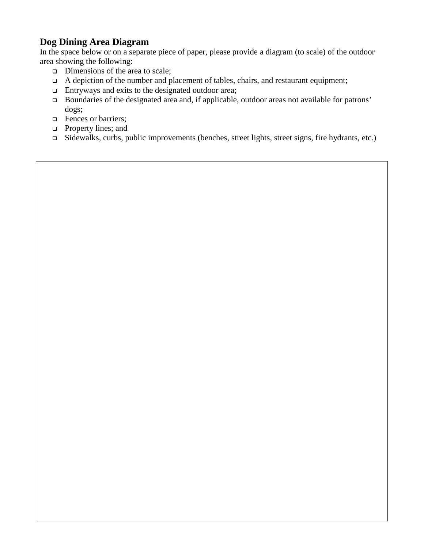## **Dog Dining Area Diagram**

In the space below or on a separate piece of paper, please provide a diagram (to scale) of the outdoor area showing the following:

- $\Box$  Dimensions of the area to scale;
- $\Box$  A depiction of the number and placement of tables, chairs, and restaurant equipment;
- $\Box$  Entryways and exits to the designated outdoor area;
- Boundaries of the designated area and, if applicable, outdoor areas not available for patrons' dogs;
- **Exercise** Fences or barriers:
- **Property lines; and**
- Sidewalks, curbs, public improvements (benches, street lights, street signs, fire hydrants, etc.)